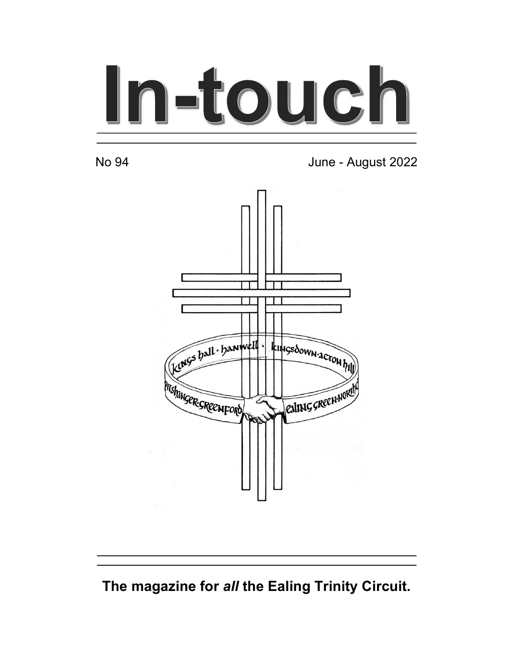# In-touch

No 94 June - August 2022



The magazine for all the Ealing Trinity Circuit.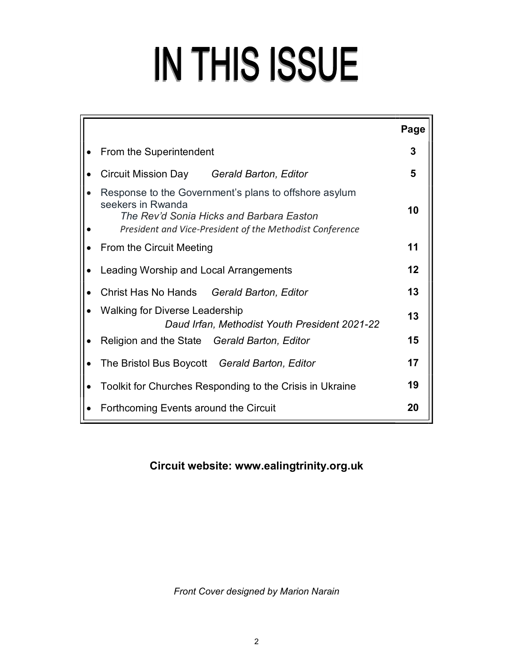# IN THIS ISSUE

| Page |
|------|
| 3    |
| 5    |
| 10   |
| 11   |
| 12   |
| 13   |
| 13   |
| 15   |
| 17   |
| 19   |
| 20   |
|      |

# Circuit website: www.ealingtrinity.org.uk

Front Cover designed by Marion Narain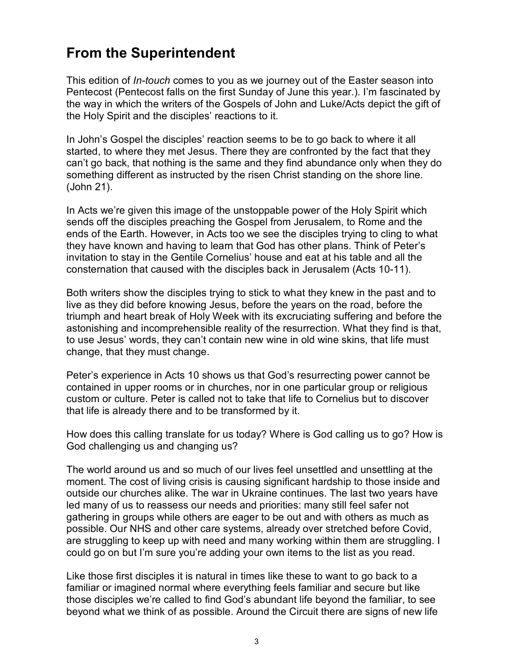# From the Superintendent

This edition of *In-touch* comes to you as we journey out of the Easter season into Pentecost (Pentecost falls on the first Sunday of June this year.). I'm fascinated by the way in which the writers of the Gospels of John and Luke/Acts depict the gift of the Holy Spirit and the disciples' reactions to it.

In John's Gospel the disciples' reaction seems to be to go back to where it all started, to where they met Jesus. There they are confronted by the fact that they can't go back, that nothing is the same and they find abundance only when they do something different as instructed by the risen Christ standing on the shore line. (John 21).

In Acts we're given this image of the unstoppable power of the Holy Spirit which sends off the disciples preaching the Gospel from Jerusalem, to Rome and the ends of the Earth. However, in Acts too we see the disciples trying to cling to what they have known and having to learn that God has other plans. Think of Peter's invitation to stay in the Gentile Cornelius' house and eat at his table and all the consternation that caused with the disciples back in Jerusalem (Acts 10-11).

Both writers show the disciples trying to stick to what they knew in the past and to live as they did before knowing Jesus, before the years on the road, before the triumph and heart break of Holy Week with its excruciating suffering and before the astonishing and incomprehensible reality of the resurrection. What they find is that, to use Jesus' words, they can't contain new wine in old wine skins, that life must change, that they must change.

Peter's experience in Acts 10 shows us that God's resurrecting power cannot be contained in upper rooms or in churches, nor in one particular group or religious custom or culture. Peter is called not to take that life to Cornelius but to discover that life is already there and to be transformed by it.

How does this calling translate for us today? Where is God calling us to go? How is God challenging us and changing us?

The world around us and so much of our lives feel unsettled and unsettling at the moment. The cost of living crisis is causing significant hardship to those inside and outside our churches alike. The war in Ukraine continues. The last two years have led many of us to reassess our needs and priorities: many still feel safer not gathering in groups while others are eager to be out and with others as much as possible. Our NHS and other care systems, already over stretched before Covid, are struggling to keep up with need and many working within them are struggling. I could go on but I'm sure you're adding your own items to the list as you read.

Like those first disciples it is natural in times like these to want to go back to a familiar or imagined normal where everything feels familiar and secure but like those disciples we're called to find God's abundant life beyond the familiar, to see beyond what we think of as possible. Around the Circuit there are signs of new life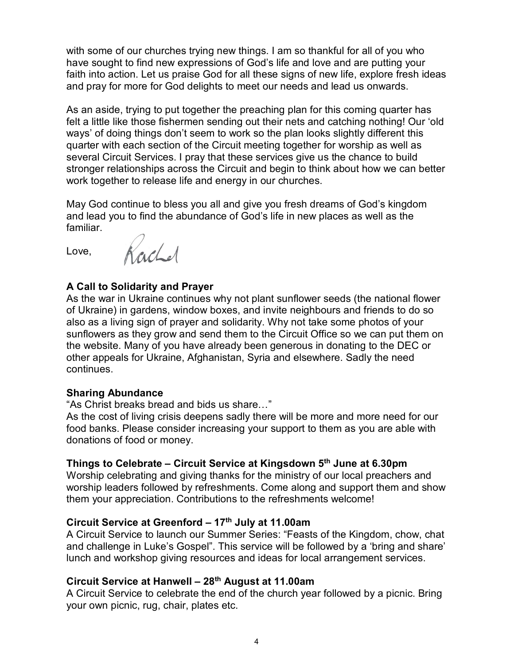with some of our churches trying new things. I am so thankful for all of you who have sought to find new expressions of God's life and love and are putting your faith into action. Let us praise God for all these signs of new life, explore fresh ideas and pray for more for God delights to meet our needs and lead us onwards.

As an aside, trying to put together the preaching plan for this coming quarter has felt a little like those fishermen sending out their nets and catching nothing! Our 'old ways' of doing things don't seem to work so the plan looks slightly different this quarter with each section of the Circuit meeting together for worship as well as several Circuit Services. I pray that these services give us the chance to build stronger relationships across the Circuit and begin to think about how we can better work together to release life and energy in our churches.

May God continue to bless you all and give you fresh dreams of God's kingdom and lead you to find the abundance of God's life in new places as well as the familiar.

Love, Rachel

## A Call to Solidarity and Prayer

As the war in Ukraine continues why not plant sunflower seeds (the national flower of Ukraine) in gardens, window boxes, and invite neighbours and friends to do so also as a living sign of prayer and solidarity. Why not take some photos of your sunflowers as they grow and send them to the Circuit Office so we can put them on the website. Many of you have already been generous in donating to the DEC or other appeals for Ukraine, Afghanistan, Syria and elsewhere. Sadly the need continues.

#### Sharing Abundance

"As Christ breaks bread and bids us share…"

As the cost of living crisis deepens sadly there will be more and more need for our food banks. Please consider increasing your support to them as you are able with donations of food or money.

#### Things to Celebrate – Circuit Service at Kingsdown  $5<sup>th</sup>$  June at 6.30pm

Worship celebrating and giving thanks for the ministry of our local preachers and worship leaders followed by refreshments. Come along and support them and show them your appreciation. Contributions to the refreshments welcome!

#### Circuit Service at Greenford  $-17<sup>th</sup>$  July at 11.00am

A Circuit Service to launch our Summer Series: "Feasts of the Kingdom, chow, chat and challenge in Luke's Gospel". This service will be followed by a 'bring and share' lunch and workshop giving resources and ideas for local arrangement services.

## Circuit Service at Hanwell - 28<sup>th</sup> August at 11.00am

A Circuit Service to celebrate the end of the church year followed by a picnic. Bring your own picnic, rug, chair, plates etc.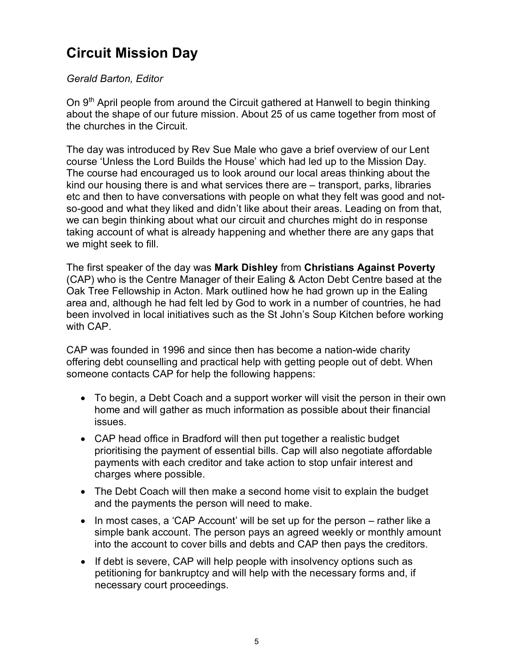# Circuit Mission Day

#### Gerald Barton, Editor

On  $9<sup>th</sup>$  April people from around the Circuit gathered at Hanwell to begin thinking about the shape of our future mission. About 25 of us came together from most of the churches in the Circuit.

The day was introduced by Rev Sue Male who gave a brief overview of our Lent course 'Unless the Lord Builds the House' which had led up to the Mission Day. The course had encouraged us to look around our local areas thinking about the kind our housing there is and what services there are – transport, parks, libraries etc and then to have conversations with people on what they felt was good and notso-good and what they liked and didn't like about their areas. Leading on from that, we can begin thinking about what our circuit and churches might do in response taking account of what is already happening and whether there are any gaps that we might seek to fill.

The first speaker of the day was Mark Dishley from Christians Against Poverty (CAP) who is the Centre Manager of their Ealing & Acton Debt Centre based at the Oak Tree Fellowship in Acton. Mark outlined how he had grown up in the Ealing area and, although he had felt led by God to work in a number of countries, he had been involved in local initiatives such as the St John's Soup Kitchen before working with CAP.

CAP was founded in 1996 and since then has become a nation-wide charity offering debt counselling and practical help with getting people out of debt. When someone contacts CAP for help the following happens:

- To begin, a Debt Coach and a support worker will visit the person in their own home and will gather as much information as possible about their financial issues.
- CAP head office in Bradford will then put together a realistic budget prioritising the payment of essential bills. Cap will also negotiate affordable payments with each creditor and take action to stop unfair interest and charges where possible.
- The Debt Coach will then make a second home visit to explain the budget and the payments the person will need to make.
- In most cases, a 'CAP Account' will be set up for the person rather like a simple bank account. The person pays an agreed weekly or monthly amount into the account to cover bills and debts and CAP then pays the creditors.
- If debt is severe, CAP will help people with insolvency options such as petitioning for bankruptcy and will help with the necessary forms and, if necessary court proceedings.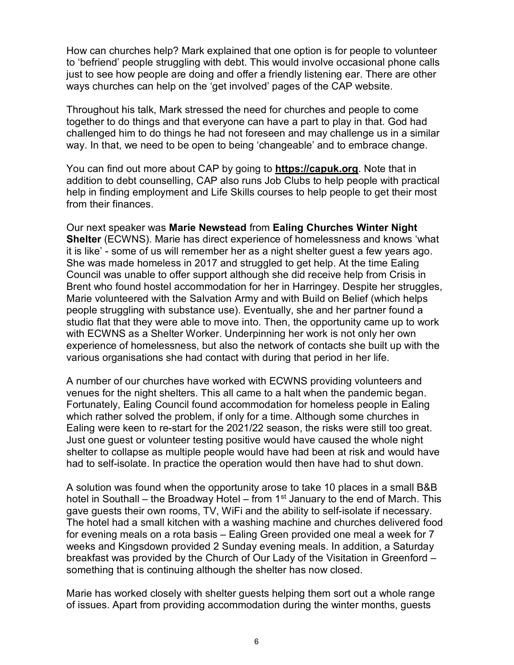How can churches help? Mark explained that one option is for people to volunteer to 'befriend' people struggling with debt. This would involve occasional phone calls just to see how people are doing and offer a friendly listening ear. There are other ways churches can help on the 'get involved' pages of the CAP website.

Throughout his talk, Mark stressed the need for churches and people to come together to do things and that everyone can have a part to play in that. God had challenged him to do things he had not foreseen and may challenge us in a similar way. In that, we need to be open to being 'changeable' and to embrace change.

You can find out more about CAP by going to **https://capuk.org**. Note that in addition to debt counselling, CAP also runs Job Clubs to help people with practical help in finding employment and Life Skills courses to help people to get their most from their finances.

Our next speaker was Marie Newstead from Ealing Churches Winter Night Shelter (ECWNS). Marie has direct experience of homelessness and knows 'what it is like' - some of us will remember her as a night shelter guest a few years ago. She was made homeless in 2017 and struggled to get help. At the time Ealing Council was unable to offer support although she did receive help from Crisis in Brent who found hostel accommodation for her in Harringey. Despite her struggles, Marie volunteered with the Salvation Army and with Build on Belief (which helps people struggling with substance use). Eventually, she and her partner found a studio flat that they were able to move into. Then, the opportunity came up to work with ECWNS as a Shelter Worker. Underpinning her work is not only her own experience of homelessness, but also the network of contacts she built up with the various organisations she had contact with during that period in her life.

A number of our churches have worked with ECWNS providing volunteers and venues for the night shelters. This all came to a halt when the pandemic began. Fortunately, Ealing Council found accommodation for homeless people in Ealing which rather solved the problem, if only for a time. Although some churches in Ealing were keen to re-start for the 2021/22 season, the risks were still too great. Just one guest or volunteer testing positive would have caused the whole night shelter to collapse as multiple people would have had been at risk and would have had to self-isolate. In practice the operation would then have had to shut down.

A solution was found when the opportunity arose to take 10 places in a small B&B hotel in Southall – the Broadway Hotel – from 1<sup>st</sup> January to the end of March. This gave guests their own rooms, TV, WiFi and the ability to self-isolate if necessary. The hotel had a small kitchen with a washing machine and churches delivered food for evening meals on a rota basis – Ealing Green provided one meal a week for 7 weeks and Kingsdown provided 2 Sunday evening meals. In addition, a Saturday breakfast was provided by the Church of Our Lady of the Visitation in Greenford – something that is continuing although the shelter has now closed.

Marie has worked closely with shelter guests helping them sort out a whole range of issues. Apart from providing accommodation during the winter months, guests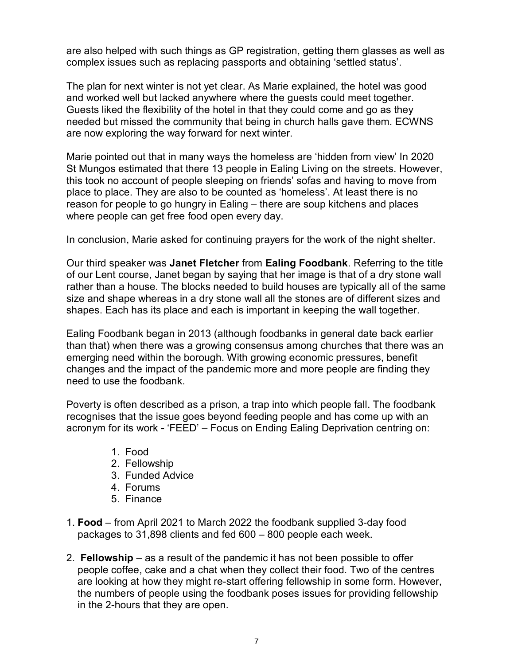are also helped with such things as GP registration, getting them glasses as well as complex issues such as replacing passports and obtaining 'settled status'.

The plan for next winter is not yet clear. As Marie explained, the hotel was good and worked well but lacked anywhere where the guests could meet together. Guests liked the flexibility of the hotel in that they could come and go as they needed but missed the community that being in church halls gave them. ECWNS are now exploring the way forward for next winter.

Marie pointed out that in many ways the homeless are 'hidden from view' In 2020 St Mungos estimated that there 13 people in Ealing Living on the streets. However, this took no account of people sleeping on friends' sofas and having to move from place to place. They are also to be counted as 'homeless'. At least there is no reason for people to go hungry in Ealing – there are soup kitchens and places where people can get free food open every day.

In conclusion, Marie asked for continuing prayers for the work of the night shelter.

Our third speaker was Janet Fletcher from Ealing Foodbank. Referring to the title of our Lent course, Janet began by saying that her image is that of a dry stone wall rather than a house. The blocks needed to build houses are typically all of the same size and shape whereas in a dry stone wall all the stones are of different sizes and shapes. Each has its place and each is important in keeping the wall together.

Ealing Foodbank began in 2013 (although foodbanks in general date back earlier than that) when there was a growing consensus among churches that there was an emerging need within the borough. With growing economic pressures, benefit changes and the impact of the pandemic more and more people are finding they need to use the foodbank.

Poverty is often described as a prison, a trap into which people fall. The foodbank recognises that the issue goes beyond feeding people and has come up with an acronym for its work - 'FEED' – Focus on Ending Ealing Deprivation centring on:

- 1. Food
- 2. Fellowship
- 3. Funded Advice
- 4. Forums
- 5. Finance
- 1. Food from April 2021 to March 2022 the foodbank supplied 3-day food packages to 31,898 clients and fed 600 – 800 people each week.
- 2. Fellowship as a result of the pandemic it has not been possible to offer people coffee, cake and a chat when they collect their food. Two of the centres are looking at how they might re-start offering fellowship in some form. However, the numbers of people using the foodbank poses issues for providing fellowship in the 2-hours that they are open.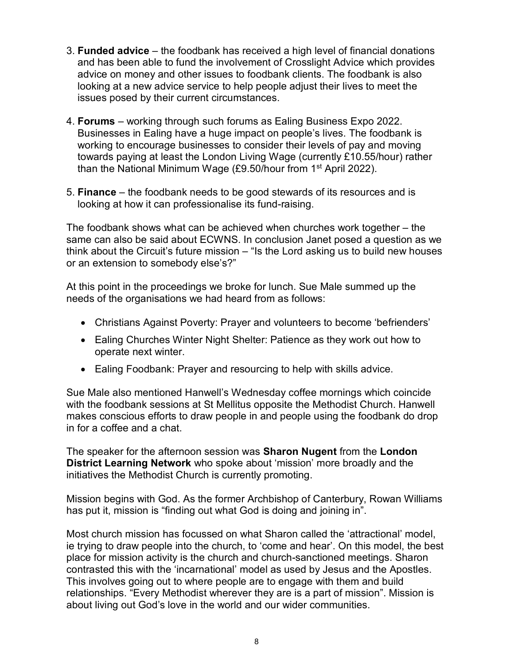- 3. Funded advice the foodbank has received a high level of financial donations and has been able to fund the involvement of Crosslight Advice which provides advice on money and other issues to foodbank clients. The foodbank is also looking at a new advice service to help people adjust their lives to meet the issues posed by their current circumstances.
- 4. Forums working through such forums as Ealing Business Expo 2022. Businesses in Ealing have a huge impact on people's lives. The foodbank is working to encourage businesses to consider their levels of pay and moving towards paying at least the London Living Wage (currently £10.55/hour) rather than the National Minimum Wage  $(E9.50/h$ our from 1<sup>st</sup> April 2022).
- 5. Finance the foodbank needs to be good stewards of its resources and is looking at how it can professionalise its fund-raising.

The foodbank shows what can be achieved when churches work together – the same can also be said about ECWNS. In conclusion Janet posed a question as we think about the Circuit's future mission – "Is the Lord asking us to build new houses or an extension to somebody else's?"

At this point in the proceedings we broke for lunch. Sue Male summed up the needs of the organisations we had heard from as follows:

- Christians Against Poverty: Prayer and volunteers to become 'befrienders'
- Ealing Churches Winter Night Shelter: Patience as they work out how to operate next winter.
- Ealing Foodbank: Prayer and resourcing to help with skills advice.

Sue Male also mentioned Hanwell's Wednesday coffee mornings which coincide with the foodbank sessions at St Mellitus opposite the Methodist Church. Hanwell makes conscious efforts to draw people in and people using the foodbank do drop in for a coffee and a chat.

The speaker for the afternoon session was **Sharon Nugent** from the London District Learning Network who spoke about 'mission' more broadly and the initiatives the Methodist Church is currently promoting.

Mission begins with God. As the former Archbishop of Canterbury, Rowan Williams has put it, mission is "finding out what God is doing and joining in".

Most church mission has focussed on what Sharon called the 'attractional' model, ie trying to draw people into the church, to 'come and hear'. On this model, the best place for mission activity is the church and church-sanctioned meetings. Sharon contrasted this with the 'incarnational' model as used by Jesus and the Apostles. This involves going out to where people are to engage with them and build relationships. "Every Methodist wherever they are is a part of mission". Mission is about living out God's love in the world and our wider communities.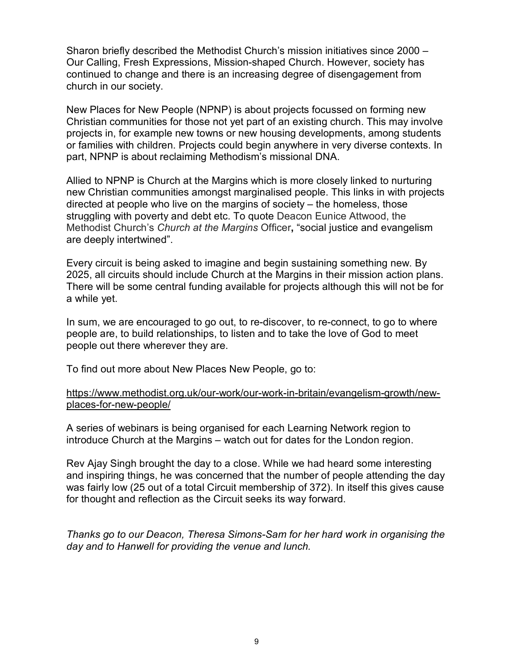Sharon briefly described the Methodist Church's mission initiatives since 2000 – Our Calling, Fresh Expressions, Mission-shaped Church. However, society has continued to change and there is an increasing degree of disengagement from church in our society.

New Places for New People (NPNP) is about projects focussed on forming new Christian communities for those not yet part of an existing church. This may involve projects in, for example new towns or new housing developments, among students or families with children. Projects could begin anywhere in very diverse contexts. In part, NPNP is about reclaiming Methodism's missional DNA.

Allied to NPNP is Church at the Margins which is more closely linked to nurturing new Christian communities amongst marginalised people. This links in with projects directed at people who live on the margins of society – the homeless, those struggling with poverty and debt etc. To quote Deacon Eunice Attwood, the Methodist Church's Church at the Margins Officer, "social justice and evangelism are deeply intertwined".

Every circuit is being asked to imagine and begin sustaining something new. By 2025, all circuits should include Church at the Margins in their mission action plans. There will be some central funding available for projects although this will not be for a while yet.

In sum, we are encouraged to go out, to re-discover, to re-connect, to go to where people are, to build relationships, to listen and to take the love of God to meet people out there wherever they are.

To find out more about New Places New People, go to:

#### https://www.methodist.org.uk/our-work/our-work-in-britain/evangelism-growth/newplaces-for-new-people/

A series of webinars is being organised for each Learning Network region to introduce Church at the Margins – watch out for dates for the London region.

Rev Ajay Singh brought the day to a close. While we had heard some interesting and inspiring things, he was concerned that the number of people attending the day was fairly low (25 out of a total Circuit membership of 372). In itself this gives cause for thought and reflection as the Circuit seeks its way forward.

Thanks go to our Deacon, Theresa Simons-Sam for her hard work in organising the day and to Hanwell for providing the venue and lunch.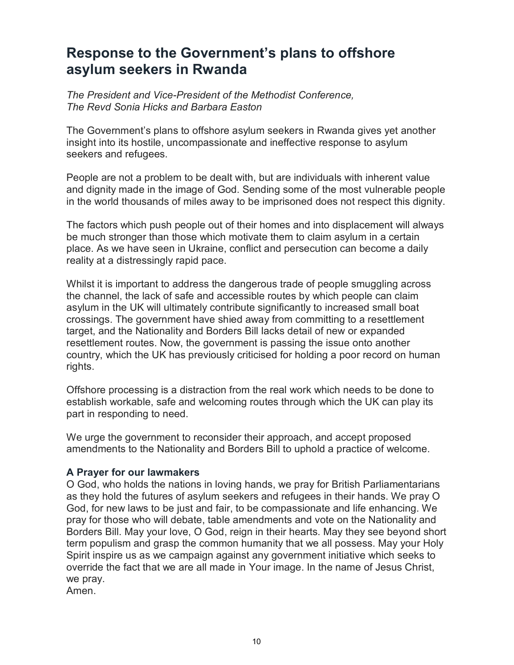# Response to the Government's plans to offshore asylum seekers in Rwanda

The President and Vice-President of the Methodist Conference, The Revd Sonia Hicks and Barbara Easton

The Government's plans to offshore asylum seekers in Rwanda gives yet another insight into its hostile, uncompassionate and ineffective response to asylum seekers and refugees.

People are not a problem to be dealt with, but are individuals with inherent value and dignity made in the image of God. Sending some of the most vulnerable people in the world thousands of miles away to be imprisoned does not respect this dignity.

The factors which push people out of their homes and into displacement will always be much stronger than those which motivate them to claim asylum in a certain place. As we have seen in Ukraine, conflict and persecution can become a daily reality at a distressingly rapid pace.

Whilst it is important to address the dangerous trade of people smuggling across the channel, the lack of safe and accessible routes by which people can claim asylum in the UK will ultimately contribute significantly to increased small boat crossings. The government have shied away from committing to a resettlement target, and the Nationality and Borders Bill lacks detail of new or expanded resettlement routes. Now, the government is passing the issue onto another country, which the UK has previously criticised for holding a poor record on human rights.

Offshore processing is a distraction from the real work which needs to be done to establish workable, safe and welcoming routes through which the UK can play its part in responding to need.

We urge the government to reconsider their approach, and accept proposed amendments to the Nationality and Borders Bill to uphold a practice of welcome.

#### A Prayer for our lawmakers

O God, who holds the nations in loving hands, we pray for British Parliamentarians as they hold the futures of asylum seekers and refugees in their hands. We pray O God, for new laws to be just and fair, to be compassionate and life enhancing. We pray for those who will debate, table amendments and vote on the Nationality and Borders Bill. May your love, O God, reign in their hearts. May they see beyond short term populism and grasp the common humanity that we all possess. May your Holy Spirit inspire us as we campaign against any government initiative which seeks to override the fact that we are all made in Your image. In the name of Jesus Christ, we pray.

Amen.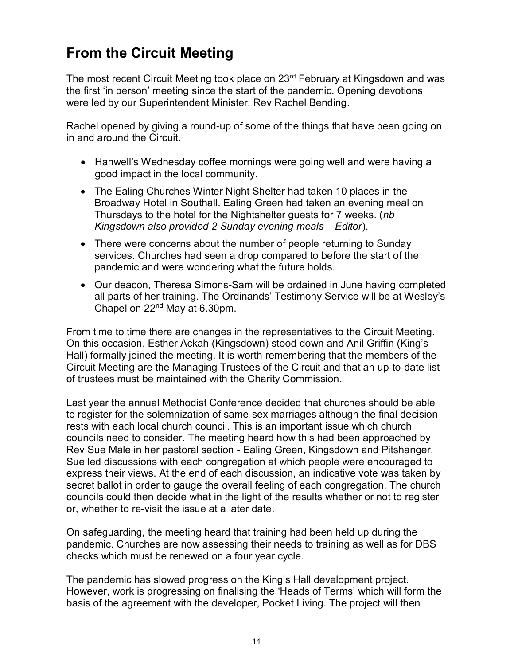# From the Circuit Meeting

The most recent Circuit Meeting took place on 23<sup>rd</sup> February at Kingsdown and was the first 'in person' meeting since the start of the pandemic. Opening devotions were led by our Superintendent Minister, Rev Rachel Bending.

Rachel opened by giving a round-up of some of the things that have been going on in and around the Circuit.

- Hanwell's Wednesday coffee mornings were going well and were having a good impact in the local community.
- The Ealing Churches Winter Night Shelter had taken 10 places in the Broadway Hotel in Southall. Ealing Green had taken an evening meal on Thursdays to the hotel for the Nightshelter guests for 7 weeks. (nb Kingsdown also provided 2 Sunday evening meals – Editor).
- There were concerns about the number of people returning to Sunday services. Churches had seen a drop compared to before the start of the pandemic and were wondering what the future holds.
- Our deacon, Theresa Simons-Sam will be ordained in June having completed all parts of her training. The Ordinands' Testimony Service will be at Wesley's Chapel on 22nd May at 6.30pm.

From time to time there are changes in the representatives to the Circuit Meeting. On this occasion, Esther Ackah (Kingsdown) stood down and Anil Griffin (King's Hall) formally joined the meeting. It is worth remembering that the members of the Circuit Meeting are the Managing Trustees of the Circuit and that an up-to-date list of trustees must be maintained with the Charity Commission.

Last year the annual Methodist Conference decided that churches should be able to register for the solemnization of same-sex marriages although the final decision rests with each local church council. This is an important issue which church councils need to consider. The meeting heard how this had been approached by Rev Sue Male in her pastoral section - Ealing Green, Kingsdown and Pitshanger. Sue led discussions with each congregation at which people were encouraged to express their views. At the end of each discussion, an indicative vote was taken by secret ballot in order to gauge the overall feeling of each congregation. The church councils could then decide what in the light of the results whether or not to register or, whether to re-visit the issue at a later date.

On safeguarding, the meeting heard that training had been held up during the pandemic. Churches are now assessing their needs to training as well as for DBS checks which must be renewed on a four year cycle.

The pandemic has slowed progress on the King's Hall development project. However, work is progressing on finalising the 'Heads of Terms' which will form the basis of the agreement with the developer, Pocket Living. The project will then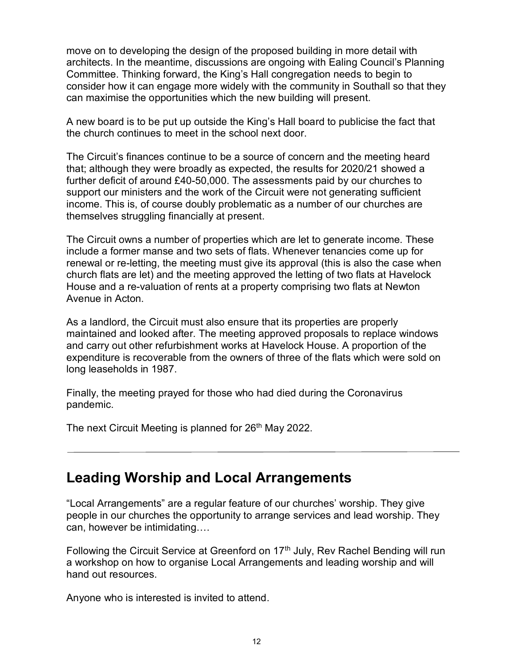move on to developing the design of the proposed building in more detail with architects. In the meantime, discussions are ongoing with Ealing Council's Planning Committee. Thinking forward, the King's Hall congregation needs to begin to consider how it can engage more widely with the community in Southall so that they can maximise the opportunities which the new building will present.

A new board is to be put up outside the King's Hall board to publicise the fact that the church continues to meet in the school next door.

The Circuit's finances continue to be a source of concern and the meeting heard that; although they were broadly as expected, the results for 2020/21 showed a further deficit of around £40-50,000. The assessments paid by our churches to support our ministers and the work of the Circuit were not generating sufficient income. This is, of course doubly problematic as a number of our churches are themselves struggling financially at present.

The Circuit owns a number of properties which are let to generate income. These include a former manse and two sets of flats. Whenever tenancies come up for renewal or re-letting, the meeting must give its approval (this is also the case when church flats are let) and the meeting approved the letting of two flats at Havelock House and a re-valuation of rents at a property comprising two flats at Newton Avenue in Acton.

As a landlord, the Circuit must also ensure that its properties are properly maintained and looked after. The meeting approved proposals to replace windows and carry out other refurbishment works at Havelock House. A proportion of the expenditure is recoverable from the owners of three of the flats which were sold on long leaseholds in 1987.

Finally, the meeting prayed for those who had died during the Coronavirus pandemic.

The next Circuit Meeting is planned for 26<sup>th</sup> May 2022.

# Leading Worship and Local Arrangements

"Local Arrangements" are a regular feature of our churches' worship. They give people in our churches the opportunity to arrange services and lead worship. They can, however be intimidating….

Following the Circuit Service at Greenford on 17<sup>th</sup> July, Rev Rachel Bending will run a workshop on how to organise Local Arrangements and leading worship and will hand out resources.

Anyone who is interested is invited to attend.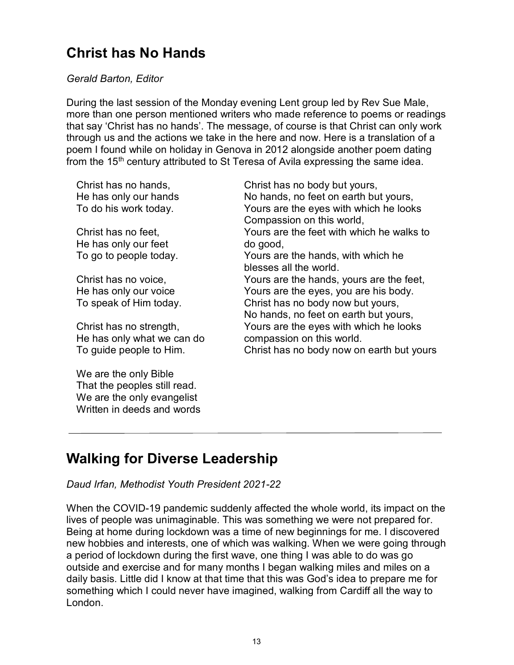# Christ has No Hands

#### Gerald Barton, Editor

During the last session of the Monday evening Lent group led by Rev Sue Male, more than one person mentioned writers who made reference to poems or readings that say 'Christ has no hands'. The message, of course is that Christ can only work through us and the actions we take in the here and now. Here is a translation of a poem I found while on holiday in Genova in 2012 alongside another poem dating from the 15<sup>th</sup> century attributed to St Teresa of Avila expressing the same idea.

Christ has no hands, He has only our hands To do his work today.

Christ has no feet, He has only our feet To go to people today.

Christ has no voice, He has only our voice To speak of Him today.

Christ has no strength, He has only what we can do To guide people to Him.

We are the only Bible That the peoples still read. We are the only evangelist Written in deeds and words Christ has no body but yours, No hands, no feet on earth but yours, Yours are the eyes with which he looks Compassion on this world, Yours are the feet with which he walks to do good, Yours are the hands, with which he blesses all the world. Yours are the hands, yours are the feet, Yours are the eyes, you are his body. Christ has no body now but yours, No hands, no feet on earth but yours, Yours are the eyes with which he looks compassion on this world. Christ has no body now on earth but yours

# Walking for Diverse Leadership

#### Daud Irfan, Methodist Youth President 2021-22

When the COVID-19 pandemic suddenly affected the whole world, its impact on the lives of people was unimaginable. This was something we were not prepared for. Being at home during lockdown was a time of new beginnings for me. I discovered new hobbies and interests, one of which was walking. When we were going through a period of lockdown during the first wave, one thing I was able to do was go outside and exercise and for many months I began walking miles and miles on a daily basis. Little did I know at that time that this was God's idea to prepare me for something which I could never have imagined, walking from Cardiff all the way to London.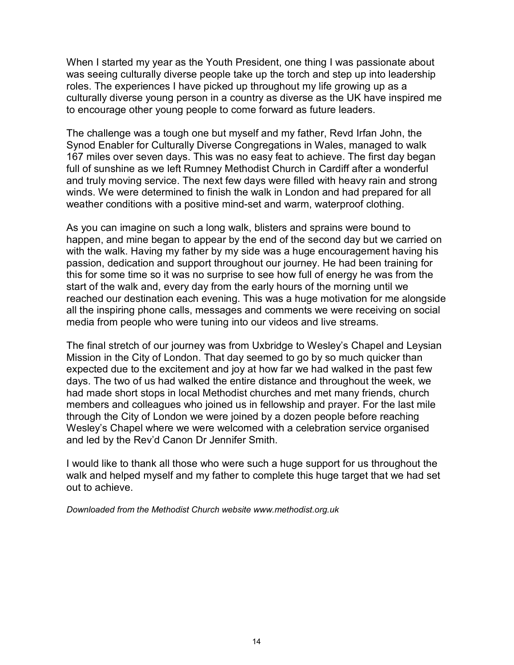When I started my year as the Youth President, one thing I was passionate about was seeing culturally diverse people take up the torch and step up into leadership roles. The experiences I have picked up throughout my life growing up as a culturally diverse young person in a country as diverse as the UK have inspired me to encourage other young people to come forward as future leaders.

The challenge was a tough one but myself and my father, Revd Irfan John, the Synod Enabler for Culturally Diverse Congregations in Wales, managed to walk 167 miles over seven days. This was no easy feat to achieve. The first day began full of sunshine as we left Rumney Methodist Church in Cardiff after a wonderful and truly moving service. The next few days were filled with heavy rain and strong winds. We were determined to finish the walk in London and had prepared for all weather conditions with a positive mind-set and warm, waterproof clothing.

As you can imagine on such a long walk, blisters and sprains were bound to happen, and mine began to appear by the end of the second day but we carried on with the walk. Having my father by my side was a huge encouragement having his passion, dedication and support throughout our journey. He had been training for this for some time so it was no surprise to see how full of energy he was from the start of the walk and, every day from the early hours of the morning until we reached our destination each evening. This was a huge motivation for me alongside all the inspiring phone calls, messages and comments we were receiving on social media from people who were tuning into our videos and live streams.

The final stretch of our journey was from Uxbridge to Wesley's Chapel and Leysian Mission in the City of London. That day seemed to go by so much quicker than expected due to the excitement and joy at how far we had walked in the past few days. The two of us had walked the entire distance and throughout the week, we had made short stops in local Methodist churches and met many friends, church members and colleagues who joined us in fellowship and prayer. For the last mile through the City of London we were joined by a dozen people before reaching Wesley's Chapel where we were welcomed with a celebration service organised and led by the Rev'd Canon Dr Jennifer Smith.

I would like to thank all those who were such a huge support for us throughout the walk and helped myself and my father to complete this huge target that we had set out to achieve.

Downloaded from the Methodist Church website www.methodist.org.uk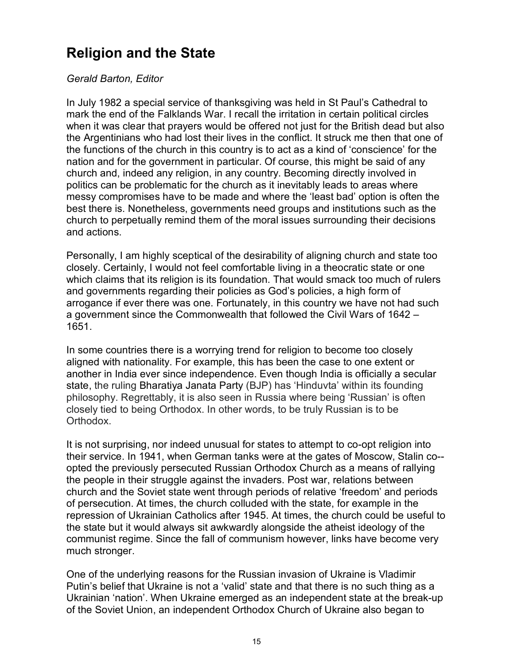# Religion and the State

#### Gerald Barton, Editor

In July 1982 a special service of thanksgiving was held in St Paul's Cathedral to mark the end of the Falklands War. I recall the irritation in certain political circles when it was clear that prayers would be offered not just for the British dead but also the Argentinians who had lost their lives in the conflict. It struck me then that one of the functions of the church in this country is to act as a kind of 'conscience' for the nation and for the government in particular. Of course, this might be said of any church and, indeed any religion, in any country. Becoming directly involved in politics can be problematic for the church as it inevitably leads to areas where messy compromises have to be made and where the 'least bad' option is often the best there is. Nonetheless, governments need groups and institutions such as the church to perpetually remind them of the moral issues surrounding their decisions and actions.

Personally, I am highly sceptical of the desirability of aligning church and state too closely. Certainly, I would not feel comfortable living in a theocratic state or one which claims that its religion is its foundation. That would smack too much of rulers and governments regarding their policies as God's policies, a high form of arrogance if ever there was one. Fortunately, in this country we have not had such a government since the Commonwealth that followed the Civil Wars of 1642 – 1651.

In some countries there is a worrying trend for religion to become too closely aligned with nationality. For example, this has been the case to one extent or another in India ever since independence. Even though India is officially a secular state, the ruling Bharatiya Janata Party (BJP) has 'Hinduvta' within its founding philosophy. Regrettably, it is also seen in Russia where being 'Russian' is often closely tied to being Orthodox. In other words, to be truly Russian is to be Orthodox.

It is not surprising, nor indeed unusual for states to attempt to co-opt religion into their service. In 1941, when German tanks were at the gates of Moscow, Stalin co- opted the previously persecuted Russian Orthodox Church as a means of rallying the people in their struggle against the invaders. Post war, relations between church and the Soviet state went through periods of relative 'freedom' and periods of persecution. At times, the church colluded with the state, for example in the repression of Ukrainian Catholics after 1945. At times, the church could be useful to the state but it would always sit awkwardly alongside the atheist ideology of the communist regime. Since the fall of communism however, links have become very much stronger.

One of the underlying reasons for the Russian invasion of Ukraine is Vladimir Putin's belief that Ukraine is not a 'valid' state and that there is no such thing as a Ukrainian 'nation'. When Ukraine emerged as an independent state at the break-up of the Soviet Union, an independent Orthodox Church of Ukraine also began to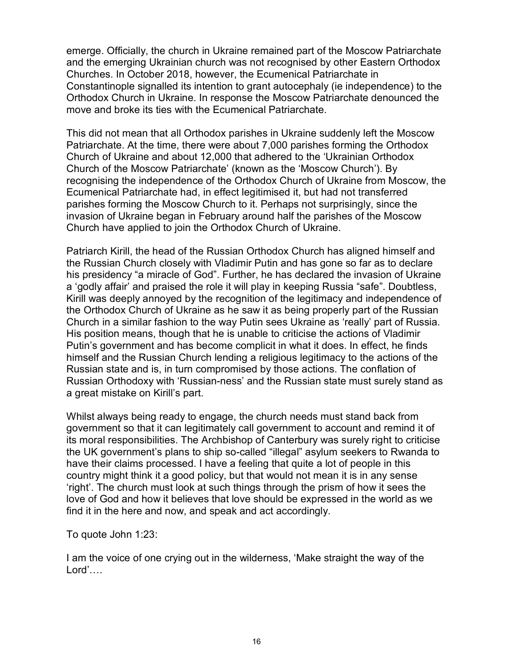emerge. Officially, the church in Ukraine remained part of the Moscow Patriarchate and the emerging Ukrainian church was not recognised by other Eastern Orthodox Churches. In October 2018, however, the Ecumenical Patriarchate in Constantinople signalled its intention to grant autocephaly (ie independence) to the Orthodox Church in Ukraine. In response the Moscow Patriarchate denounced the move and broke its ties with the Ecumenical Patriarchate.

This did not mean that all Orthodox parishes in Ukraine suddenly left the Moscow Patriarchate. At the time, there were about 7,000 parishes forming the Orthodox Church of Ukraine and about 12,000 that adhered to the 'Ukrainian Orthodox Church of the Moscow Patriarchate' (known as the 'Moscow Church'). By recognising the independence of the Orthodox Church of Ukraine from Moscow, the Ecumenical Patriarchate had, in effect legitimised it, but had not transferred parishes forming the Moscow Church to it. Perhaps not surprisingly, since the invasion of Ukraine began in February around half the parishes of the Moscow Church have applied to join the Orthodox Church of Ukraine.

Patriarch Kirill, the head of the Russian Orthodox Church has aligned himself and the Russian Church closely with Vladimir Putin and has gone so far as to declare his presidency "a miracle of God". Further, he has declared the invasion of Ukraine a 'godly affair' and praised the role it will play in keeping Russia "safe". Doubtless, Kirill was deeply annoyed by the recognition of the legitimacy and independence of the Orthodox Church of Ukraine as he saw it as being properly part of the Russian Church in a similar fashion to the way Putin sees Ukraine as 'really' part of Russia. His position means, though that he is unable to criticise the actions of Vladimir Putin's government and has become complicit in what it does. In effect, he finds himself and the Russian Church lending a religious legitimacy to the actions of the Russian state and is, in turn compromised by those actions. The conflation of Russian Orthodoxy with 'Russian-ness' and the Russian state must surely stand as a great mistake on Kirill's part.

Whilst always being ready to engage, the church needs must stand back from government so that it can legitimately call government to account and remind it of its moral responsibilities. The Archbishop of Canterbury was surely right to criticise the UK government's plans to ship so-called "illegal" asylum seekers to Rwanda to have their claims processed. I have a feeling that quite a lot of people in this country might think it a good policy, but that would not mean it is in any sense 'right'. The church must look at such things through the prism of how it sees the love of God and how it believes that love should be expressed in the world as we find it in the here and now, and speak and act accordingly.

To quote John 1:23:

I am the voice of one crying out in the wilderness, 'Make straight the way of the Lord'….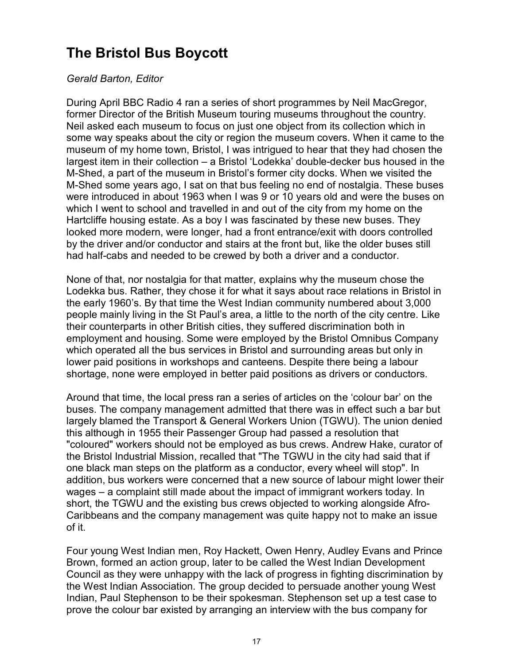# The Bristol Bus Boycott

#### Gerald Barton, Editor

During April BBC Radio 4 ran a series of short programmes by Neil MacGregor, former Director of the British Museum touring museums throughout the country. Neil asked each museum to focus on just one object from its collection which in some way speaks about the city or region the museum covers. When it came to the museum of my home town, Bristol, I was intrigued to hear that they had chosen the largest item in their collection – a Bristol 'Lodekka' double-decker bus housed in the M-Shed, a part of the museum in Bristol's former city docks. When we visited the M-Shed some years ago, I sat on that bus feeling no end of nostalgia. These buses were introduced in about 1963 when I was 9 or 10 years old and were the buses on which I went to school and travelled in and out of the city from my home on the Hartcliffe housing estate. As a boy I was fascinated by these new buses. They looked more modern, were longer, had a front entrance/exit with doors controlled by the driver and/or conductor and stairs at the front but, like the older buses still had half-cabs and needed to be crewed by both a driver and a conductor.

None of that, nor nostalgia for that matter, explains why the museum chose the Lodekka bus. Rather, they chose it for what it says about race relations in Bristol in the early 1960's. By that time the West Indian community numbered about 3,000 people mainly living in the St Paul's area, a little to the north of the city centre. Like their counterparts in other British cities, they suffered discrimination both in employment and housing. Some were employed by the Bristol Omnibus Company which operated all the bus services in Bristol and surrounding areas but only in lower paid positions in workshops and canteens. Despite there being a labour shortage, none were employed in better paid positions as drivers or conductors.

Around that time, the local press ran a series of articles on the 'colour bar' on the buses. The company management admitted that there was in effect such a bar but largely blamed the Transport & General Workers Union (TGWU). The union denied this although in 1955 their Passenger Group had passed a resolution that "coloured" workers should not be employed as bus crews. Andrew Hake, curator of the Bristol Industrial Mission, recalled that "The TGWU in the city had said that if one black man steps on the platform as a conductor, every wheel will stop". In addition, bus workers were concerned that a new source of labour might lower their wages – a complaint still made about the impact of immigrant workers today. In short, the TGWU and the existing bus crews objected to working alongside Afro-Caribbeans and the company management was quite happy not to make an issue of it.

Four young West Indian men, Roy Hackett, Owen Henry, Audley Evans and Prince Brown, formed an action group, later to be called the West Indian Development Council as they were unhappy with the lack of progress in fighting discrimination by the West Indian Association. The group decided to persuade another young West Indian, Paul Stephenson to be their spokesman. Stephenson set up a test case to prove the colour bar existed by arranging an interview with the bus company for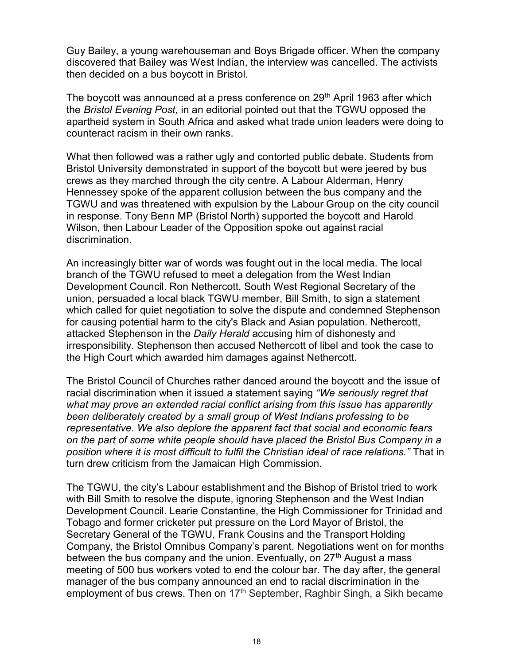Guy Bailey, a young warehouseman and Boys Brigade officer. When the company discovered that Bailey was West Indian, the interview was cancelled. The activists then decided on a bus boycott in Bristol.

The boycott was announced at a press conference on 29<sup>th</sup> April 1963 after which the Bristol Evening Post, in an editorial pointed out that the TGWU opposed the apartheid system in South Africa and asked what trade union leaders were doing to counteract racism in their own ranks.

What then followed was a rather ugly and contorted public debate. Students from Bristol University demonstrated in support of the boycott but were jeered by bus crews as they marched through the city centre. A Labour Alderman, Henry Hennessey spoke of the apparent collusion between the bus company and the TGWU and was threatened with expulsion by the Labour Group on the city council in response. Tony Benn MP (Bristol North) supported the boycott and Harold Wilson, then Labour Leader of the Opposition spoke out against racial discrimination.

An increasingly bitter war of words was fought out in the local media. The local branch of the TGWU refused to meet a delegation from the West Indian Development Council. Ron Nethercott, South West Regional Secretary of the union, persuaded a local black TGWU member, Bill Smith, to sign a statement which called for quiet negotiation to solve the dispute and condemned Stephenson for causing potential harm to the city's Black and Asian population. Nethercott, attacked Stephenson in the *Daily Herald* accusing him of dishonesty and irresponsibility. Stephenson then accused Nethercott of libel and took the case to the High Court which awarded him damages against Nethercott.

The Bristol Council of Churches rather danced around the boycott and the issue of racial discrimination when it issued a statement saying "We seriously regret that what may prove an extended racial conflict arising from this issue has apparently been deliberately created by a small group of West Indians professing to be representative. We also deplore the apparent fact that social and economic fears on the part of some white people should have placed the Bristol Bus Company in a position where it is most difficult to fulfil the Christian ideal of race relations." That in turn drew criticism from the Jamaican High Commission.

The TGWU, the city's Labour establishment and the Bishop of Bristol tried to work with Bill Smith to resolve the dispute, ignoring Stephenson and the West Indian Development Council. Learie Constantine, the High Commissioner for Trinidad and Tobago and former cricketer put pressure on the Lord Mayor of Bristol, the Secretary General of the TGWU, Frank Cousins and the Transport Holding Company, the Bristol Omnibus Company's parent. Negotiations went on for months between the bus company and the union. Eventually, on 27<sup>th</sup> August a mass meeting of 500 bus workers voted to end the colour bar. The day after, the general manager of the bus company announced an end to racial discrimination in the employment of bus crews. Then on  $17<sup>th</sup>$  September, Raghbir Singh, a Sikh became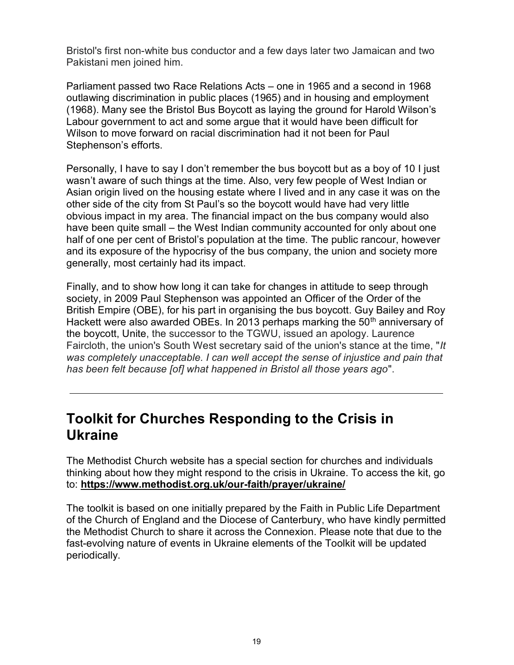Bristol's first non-white bus conductor and a few days later two Jamaican and two Pakistani men joined him.

Parliament passed two Race Relations Acts – one in 1965 and a second in 1968 outlawing discrimination in public places (1965) and in housing and employment (1968). Many see the Bristol Bus Boycott as laying the ground for Harold Wilson's Labour government to act and some argue that it would have been difficult for Wilson to move forward on racial discrimination had it not been for Paul Stephenson's efforts.

Personally, I have to say I don't remember the bus boycott but as a boy of 10 I just wasn't aware of such things at the time. Also, very few people of West Indian or Asian origin lived on the housing estate where I lived and in any case it was on the other side of the city from St Paul's so the boycott would have had very little obvious impact in my area. The financial impact on the bus company would also have been quite small – the West Indian community accounted for only about one half of one per cent of Bristol's population at the time. The public rancour, however and its exposure of the hypocrisy of the bus company, the union and society more generally, most certainly had its impact.

Finally, and to show how long it can take for changes in attitude to seep through society, in 2009 Paul Stephenson was appointed an Officer of the Order of the British Empire (OBE), for his part in organising the bus boycott. Guy Bailey and Roy Hackett were also awarded OBEs. In 2013 perhaps marking the 50<sup>th</sup> anniversary of the boycott, Unite, the successor to the TGWU, issued an apology. Laurence Faircloth, the union's South West secretary said of the union's stance at the time, "It was completely unacceptable. I can well accept the sense of injustice and pain that has been felt because [of] what happened in Bristol all those years ago".

# Toolkit for Churches Responding to the Crisis in Ukraine

The Methodist Church website has a special section for churches and individuals thinking about how they might respond to the crisis in Ukraine. To access the kit, go to: https://www.methodist.org.uk/our-faith/prayer/ukraine/

The toolkit is based on one initially prepared by the Faith in Public Life Department of the Church of England and the Diocese of Canterbury, who have kindly permitted the Methodist Church to share it across the Connexion. Please note that due to the fast-evolving nature of events in Ukraine elements of the Toolkit will be updated periodically.